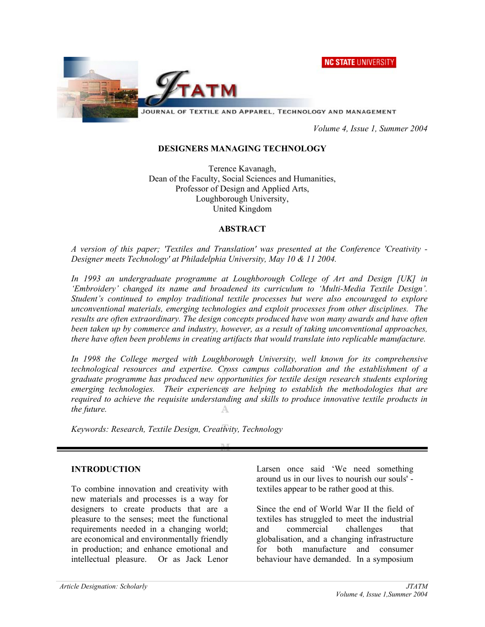NC STATE UNIVERSITY



JOURNAL OF TEXTILE AND APPAREL, TECHNOLOGY AND MANAGEMENT

 *Volume 4, Issue 1, Summer 2004* 

#### **DESIGNERS MANAGING TECHNOLOGY**

Terence Kavanagh, Dean of the Faculty, Social Sciences and Humanities, Professor of Design and Applied Arts, Loughborough University, United Kingdom

#### **ABSTRACT**

*A version of this paper; 'Textiles and Translation' was presented at the Conference 'Creativity - Designer meets Technology' at Philadelphia University, May 10 & 11 2004.* 

*In 1993 an undergraduate programme at Loughborough College of Art and Design [UK] in 'Embroidery' changed its name and broadened its curriculum to 'Multi-Media Textile Design'. Student's continued to employ traditional textile processes but were also encouraged to explore unconventional materials, emerging technologies and exploit processes from other disciplines. The results are often extraordinary. The design concepts produced have won many awards and have often been taken up by commerce and industry, however, as a result of taking unconventional approaches, there have often been problems in creating artifacts that would translate into replicable manufacture.* 

In 1998 the College merged with Loughborough University, well known for its comprehensive *technological resources and expertise. Cross campus collaboration and the establishment of a graduate programme has produced new opportunities for textile design research students exploring emerging technologies. Their experiences are helping to establish the methodologies that are required to achieve the requisite understanding and skills to produce innovative textile products in the future.* 

*Keywords: Research, Textile Design, Creativity, Technology* 

#### **INTRODUCTION**

To combine innovation and creativity with new materials and processes is a way for designers to create products that are a pleasure to the senses; meet the functional requirements needed in a changing world; are economical and environmentally friendly in production; and enhance emotional and intellectual pleasure. Or as Jack Lenor

Larsen once said 'We need something around us in our lives to nourish our souls' textiles appear to be rather good at this.

Since the end of World War II the field of textiles has struggled to meet the industrial and commercial challenges that globalisation, and a changing infrastructure for both manufacture and consumer behaviour have demanded. In a symposium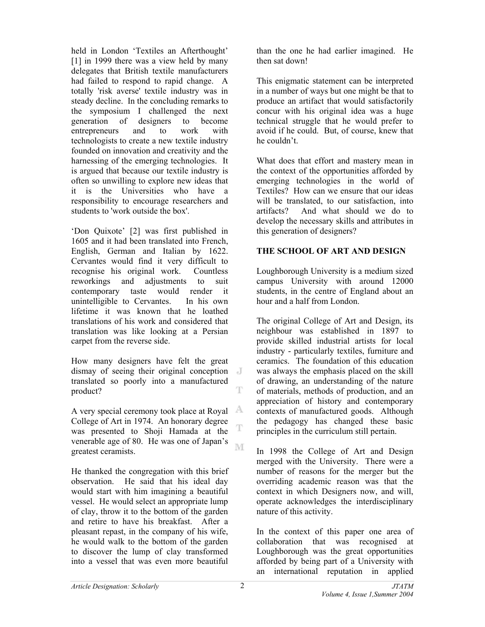held in London 'Textiles an Afterthought' [1] in 1999 there was a view held by many delegates that British textile manufacturers had failed to respond to rapid change. A totally 'risk averse' textile industry was in steady decline. In the concluding remarks to the symposium I challenged the next generation of designers to become entrepreneurs and to work with technologists to create a new textile industry founded on innovation and creativity and the harnessing of the emerging technologies. It is argued that because our textile industry is often so unwilling to explore new ideas that it is the Universities who have a responsibility to encourage researchers and students to 'work outside the box'.

'Don Quixote' [2] was first published in 1605 and it had been translated into French, English, German and Italian by 1622. Cervantes would find it very difficult to recognise his original work. Countless reworkings and adjustments to suit contemporary taste would render it unintelligible to Cervantes. In his own lifetime it was known that he loathed translations of his work and considered that translation was like looking at a Persian carpet from the reverse side.

How many designers have felt the great dismay of seeing their original conception translated so poorly into a manufactured T product?

A very special ceremony took place at Royal College of Art in 1974. An honorary degree T was presented to Shoji Hamada at the venerable age of 80. He was one of Japan's ľΜ greatest ceramists.

He thanked the congregation with this brief observation. He said that his ideal day would start with him imagining a beautiful vessel. He would select an appropriate lump of clay, throw it to the bottom of the garden and retire to have his breakfast. After a pleasant repast, in the company of his wife, he would walk to the bottom of the garden to discover the lump of clay transformed into a vessel that was even more beautiful

than the one he had earlier imagined. He then sat down!

This enigmatic statement can be interpreted in a number of ways but one might be that to produce an artifact that would satisfactorily concur with his original idea was a huge technical struggle that he would prefer to avoid if he could. But, of course, knew that he couldn't.

What does that effort and mastery mean in the context of the opportunities afforded by emerging technologies in the world of Textiles? How can we ensure that our ideas will be translated, to our satisfaction, into artifacts? And what should we do to develop the necessary skills and attributes in this generation of designers?

## **THE SCHOOL OF ART AND DESIGN**

Loughborough University is a medium sized campus University with around 12000 students, in the centre of England about an hour and a half from London.

The original College of Art and Design, its neighbour was established in 1897 to provide skilled industrial artists for local industry - particularly textiles, furniture and ceramics. The foundation of this education was always the emphasis placed on the skill of drawing, an understanding of the nature of materials, methods of production, and an appreciation of history and contemporary contexts of manufactured goods. Although the pedagogy has changed these basic principles in the curriculum still pertain.

In 1998 the College of Art and Design merged with the University. There were a number of reasons for the merger but the overriding academic reason was that the context in which Designers now, and will, operate acknowledges the interdisciplinary nature of this activity.

In the context of this paper one area of collaboration that was recognised at Loughborough was the great opportunities afforded by being part of a University with an international reputation in applied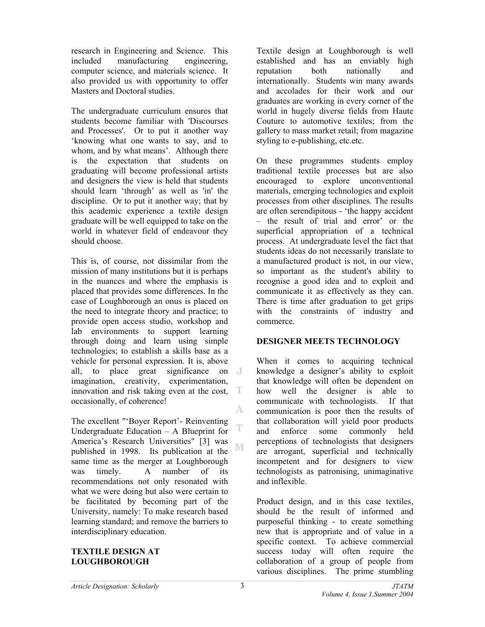research in Engineering and Science. This included manufacturing engineering, computer science, and materials science. It also provided us with opportunity to offer Masters and Doctoral studies.

The undergraduate curriculum ensures that students become familiar with 'Discourses and Processes'. Or to put it another way 'knowing what one wants to say, and to whom, and by what means'. Although there is the expectation that students on graduating will become professional artists and designers the view is held that students should learn 'through' as well as 'in' the discipline. Or to put it another way; that by this academic experience a textile design graduate will be well equipped to take on the world in whatever field of endeavour they should choose.

This is, of course, not dissimilar from the mission of many institutions but it is perhaps in the nuances and where the emphasis is placed that provides some differences. In the case of Loughborough an onus is placed on the need to integrate theory and practice; to provide open access studio, workshop and lab environments to support learning through doing and learn using simple technologies; to establish a skills base as a vehicle for personal expression. It is, above all, to place great significance on  $\mathbb{J}$ imagination, creativity, experimentation, innovation and risk taking even at the cost, т occasionally, of coherence! A.

The excellent "'Boyer Report'- Reinventing T Undergraduate Education – A Blueprint for America's Research Universities" [3] was M published in 1998. Its publication at the same time as the merger at Loughborough was timely. A number of its recommendations not only resonated with what we were doing but also were certain to be facilitated by becoming part of the University, namely: To make research based learning standard; and remove the barriers to interdisciplinary education.

#### **TEXTILE DESIGN AT LOUGHBOROUGH**

Textile design at Loughborough is well established and has an enviably high reputation both nationally and internationally. Students win many awards and accolades for their work and our graduates are working in every corner of the world in hugely diverse fields from Haute Couture to automotive textiles; from the gallery to mass market retail; from magazine styling to e-publishing, etc.etc.

On these programmes students employ traditional textile processes but are also encouraged to explore unconventional materials, emerging technologies and exploit processes from other disciplines. The results are often serendipitous - 'the happy accident – the result of trial and error' or the superficial appropriation of a technical process. At undergraduate level the fact that students ideas do not necessarily translate to a manufactured product is not, in our view, so important as the student's ability to recognise a good idea and to exploit and communicate it as effectively as they can. There is time after graduation to get grips with the constraints of industry and commerce.

## **DESIGNER MEETS TECHNOLOGY**

When it comes to acquiring technical knowledge a designer's ability to exploit that knowledge will often be dependent on how well the designer is able to communicate with technologists. If that communication is poor then the results of that collaboration will yield poor products and enforce some commonly held perceptions of technologists that designers are arrogant, superficial and technically incompetent and for designers to view technologists as patronising, unimaginative and inflexible.

Product design, and in this case textiles, should be the result of informed and purposeful thinking - to create something new that is appropriate and of value in a specific context. To achieve commercial success today will often require the collaboration of a group of people from various disciplines. The prime stumbling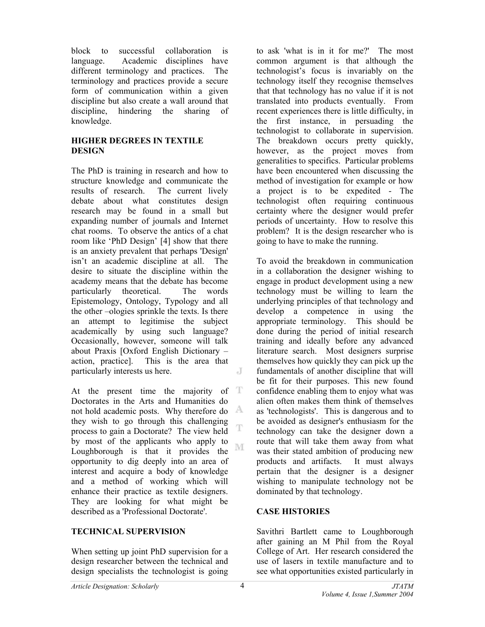block to successful collaboration is language. Academic disciplines have different terminology and practices. The terminology and practices provide a secure form of communication within a given discipline but also create a wall around that discipline, hindering the sharing of knowledge.

## **HIGHER DEGREES IN TEXTILE DESIGN**

The PhD is training in research and how to structure knowledge and communicate the results of research. The current lively debate about what constitutes design research may be found in a small but expanding number of journals and Internet chat rooms. To observe the antics of a chat room like 'PhD Design' [4] show that there is an anxiety prevalent that perhaps 'Design' isn't an academic discipline at all. The desire to situate the discipline within the academy means that the debate has become particularly theoretical. The words Epistemology, Ontology, Typology and all the other –ologies sprinkle the texts. Is there an attempt to legitimise the subject academically by using such language? Occasionally, however, someone will talk about Praxis [Oxford English Dictionary – action, practice]. This is the area that particularly interests us here. J

At the present time the majority of  $T$ Doctorates in the Arts and Humanities do not hold academic posts. Why therefore do they wish to go through this challenging T process to gain a Doctorate? The view held by most of the applicants who apply to M Loughborough is that it provides the opportunity to dig deeply into an area of interest and acquire a body of knowledge and a method of working which will enhance their practice as textile designers. They are looking for what might be described as a 'Professional Doctorate'.

# **TECHNICAL SUPERVISION**

When setting up joint PhD supervision for a design researcher between the technical and design specialists the technologist is going

to ask 'what is in it for me?' The most common argument is that although the technologist's focus is invariably on the technology itself they recognise themselves that that technology has no value if it is not translated into products eventually. From recent experiences there is little difficulty, in the first instance, in persuading the technologist to collaborate in supervision. The breakdown occurs pretty quickly, however, as the project moves from generalities to specifics. Particular problems have been encountered when discussing the method of investigation for example or how a project is to be expedited - The technologist often requiring continuous certainty where the designer would prefer periods of uncertainty. How to resolve this problem? It is the design researcher who is going to have to make the running.

To avoid the breakdown in communication in a collaboration the designer wishing to engage in product development using a new technology must be willing to learn the underlying principles of that technology and develop a competence in using the appropriate terminology. This should be done during the period of initial research training and ideally before any advanced literature search. Most designers surprise themselves how quickly they can pick up the fundamentals of another discipline that will be fit for their purposes. This new found confidence enabling them to enjoy what was alien often makes them think of themselves as 'technologists'. This is dangerous and to be avoided as designer's enthusiasm for the technology can take the designer down a route that will take them away from what was their stated ambition of producing new products and artifacts. It must always pertain that the designer is a designer wishing to manipulate technology not be dominated by that technology.

## **CASE HISTORIES**

Savithri Bartlett came to Loughborough after gaining an M Phil from the Royal College of Art. Her research considered the use of lasers in textile manufacture and to see what opportunities existed particularly in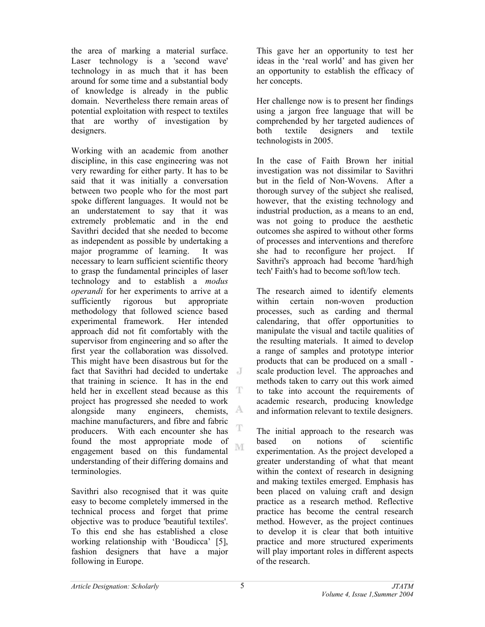the area of marking a material surface. Laser technology is a 'second wave' technology in as much that it has been around for some time and a substantial body of knowledge is already in the public domain. Nevertheless there remain areas of potential exploitation with respect to textiles that are worthy of investigation by designers.

Working with an academic from another discipline, in this case engineering was not very rewarding for either party. It has to be said that it was initially a conversation between two people who for the most part spoke different languages. It would not be an understatement to say that it was extremely problematic and in the end Savithri decided that she needed to become as independent as possible by undertaking a major programme of learning. It was necessary to learn sufficient scientific theory to grasp the fundamental principles of laser technology and to establish a *modus operandi* for her experiments to arrive at a sufficiently rigorous but appropriate methodology that followed science based experimental framework. Her intended approach did not fit comfortably with the supervisor from engineering and so after the first year the collaboration was dissolved. This might have been disastrous but for the fact that Savithri had decided to undertake that training in science. It has in the end held her in excellent stead because as this T project has progressed she needed to work A alongside many engineers, chemists, machine manufacturers, and fibre and fabric T producers. With each encounter she has found the most appropriate mode of NI engagement based on this fundamental understanding of their differing domains and terminologies.

Savithri also recognised that it was quite easy to become completely immersed in the technical process and forget that prime objective was to produce 'beautiful textiles'. To this end she has established a close working relationship with 'Boudicca' [5], fashion designers that have a major following in Europe.

This gave her an opportunity to test her ideas in the 'real world' and has given her an opportunity to establish the efficacy of her concepts.

Her challenge now is to present her findings using a jargon free language that will be comprehended by her targeted audiences of both textile designers and textile technologists in 2005.

In the case of Faith Brown her initial investigation was not dissimilar to Savithri but in the field of Non-Wovens. After a thorough survey of the subject she realised, however, that the existing technology and industrial production, as a means to an end, was not going to produce the aesthetic outcomes she aspired to without other forms of processes and interventions and therefore she had to reconfigure her project. If Savithri's approach had become 'hard/high tech' Faith's had to become soft/low tech.

The research aimed to identify elements within certain non-woven production processes, such as carding and thermal calendaring, that offer opportunities to manipulate the visual and tactile qualities of the resulting materials. It aimed to develop a range of samples and prototype interior products that can be produced on a small scale production level. The approaches and methods taken to carry out this work aimed to take into account the requirements of academic research, producing knowledge and information relevant to textile designers.

The initial approach to the research was based on notions of scientific experimentation. As the project developed a greater understanding of what that meant within the context of research in designing and making textiles emerged. Emphasis has been placed on valuing craft and design practice as a research method. Reflective practice has become the central research method. However, as the project continues to develop it is clear that both intuitive practice and more structured experiments will play important roles in different aspects of the research.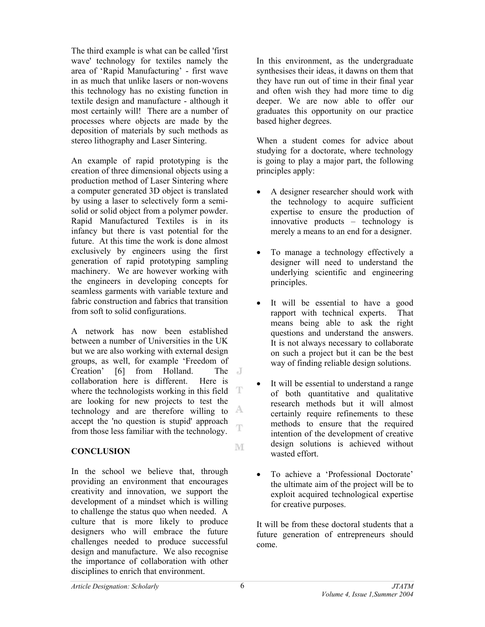The third example is what can be called 'first wave' technology for textiles namely the area of 'Rapid Manufacturing' - first wave in as much that unlike lasers or non-wovens this technology has no existing function in textile design and manufacture - although it most certainly will! There are a number of processes where objects are made by the deposition of materials by such methods as stereo lithography and Laser Sintering.

An example of rapid prototyping is the creation of three dimensional objects using a production method of Laser Sintering where a computer generated 3D object is translated by using a laser to selectively form a semisolid or solid object from a polymer powder. Rapid Manufactured Textiles is in its infancy but there is vast potential for the future. At this time the work is done almost exclusively by engineers using the first generation of rapid prototyping sampling machinery. We are however working with the engineers in developing concepts for seamless garments with variable texture and fabric construction and fabrics that transition from soft to solid configurations.

A network has now been established between a number of Universities in the UK but we are also working with external design groups, as well, for example 'Freedom of Creation' [6] from Holland. The J collaboration here is different. Here is T where the technologists working in this field are looking for new projects to test the technology and are therefore willing to accept the 'no question is stupid' approach T from those less familiar with the technology.

## **CONCLUSION**

In the school we believe that, through providing an environment that encourages creativity and innovation, we support the development of a mindset which is willing to challenge the status quo when needed. A culture that is more likely to produce designers who will embrace the future challenges needed to produce successful design and manufacture. We also recognise the importance of collaboration with other disciplines to enrich that environment.

In this environment, as the undergraduate synthesises their ideas, it dawns on them that they have run out of time in their final year and often wish they had more time to dig deeper. We are now able to offer our graduates this opportunity on our practice based higher degrees.

When a student comes for advice about studying for a doctorate, where technology is going to play a major part, the following principles apply:

- A designer researcher should work with the technology to acquire sufficient expertise to ensure the production of innovative products – technology is merely a means to an end for a designer.
- To manage a technology effectively a designer will need to understand the underlying scientific and engineering principles.
- It will be essential to have a good rapport with technical experts. That means being able to ask the right questions and understand the answers. It is not always necessary to collaborate on such a project but it can be the best way of finding reliable design solutions.
- It will be essential to understand a range of both quantitative and qualitative research methods but it will almost certainly require refinements to these methods to ensure that the required intention of the development of creative design solutions is achieved without wasted effort.
- To achieve a 'Professional Doctorate' the ultimate aim of the project will be to exploit acquired technological expertise for creative purposes.

It will be from these doctoral students that a future generation of entrepreneurs should come.

M